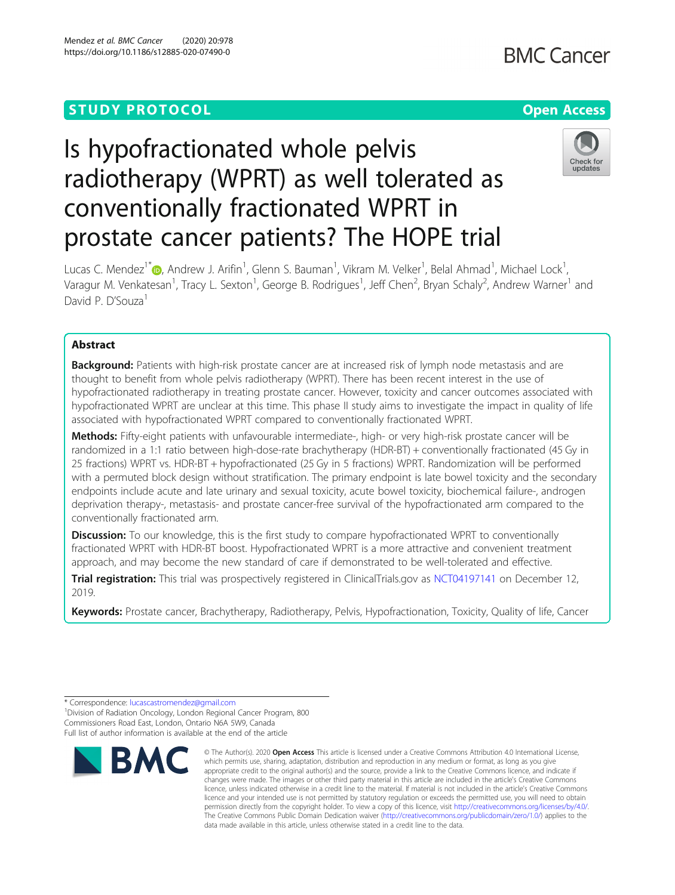# **STUDY PROTOCOL CONSUMING THE RESERVE ACCESS**

# Is hypofractionated whole pelvis radiotherapy (WPRT) as well tolerated as conventionally fractionated WPRT in prostate cancer patients? The HOPE trial



Lucas C. Mendez $^{\dagger}$ (d)[,](http://orcid.org/0000-0002-0440-3320) Andrew J. Arifin $^{\dagger}$ , Glenn S. Bauman $^{\dagger}$ , Vikram M. Velker $^{\dagger}$ , Belal Ahmad $^{\dagger}$ , Michael Lock $^{\dagger}$ , Varagur M. Venkatesan<sup>1</sup>, Tracy L. Sexton<sup>1</sup>, George B. Rodrigues<sup>1</sup>, Jeff Chen<sup>2</sup>, Bryan Schaly<sup>2</sup>, Andrew Warner<sup>1</sup> and David P. D'Souza<sup>1</sup>

### Abstract

Background: Patients with high-risk prostate cancer are at increased risk of lymph node metastasis and are thought to benefit from whole pelvis radiotherapy (WPRT). There has been recent interest in the use of hypofractionated radiotherapy in treating prostate cancer. However, toxicity and cancer outcomes associated with hypofractionated WPRT are unclear at this time. This phase II study aims to investigate the impact in quality of life associated with hypofractionated WPRT compared to conventionally fractionated WPRT.

Methods: Fifty-eight patients with unfavourable intermediate-, high- or very high-risk prostate cancer will be randomized in a 1:1 ratio between high-dose-rate brachytherapy (HDR-BT) + conventionally fractionated (45 Gy in 25 fractions) WPRT vs. HDR-BT + hypofractionated (25 Gy in 5 fractions) WPRT. Randomization will be performed with a permuted block design without stratification. The primary endpoint is late bowel toxicity and the secondary endpoints include acute and late urinary and sexual toxicity, acute bowel toxicity, biochemical failure-, androgen deprivation therapy-, metastasis- and prostate cancer-free survival of the hypofractionated arm compared to the conventionally fractionated arm.

**Discussion:** To our knowledge, this is the first study to compare hypofractionated WPRT to conventionally fractionated WPRT with HDR-BT boost. Hypofractionated WPRT is a more attractive and convenient treatment approach, and may become the new standard of care if demonstrated to be well-tolerated and effective.

Trial registration: This trial was prospectively registered in ClinicalTrials.gov as [NCT04197141](https://clinicaltrials.gov/ct2/show/NCT04197141) on December 12, 2019.

Keywords: Prostate cancer, Brachytherapy, Radiotherapy, Pelvis, Hypofractionation, Toxicity, Quality of life, Cancer

<sup>1</sup> Division of Radiation Oncology, London Regional Cancer Program, 800 Commissioners Road East, London, Ontario N6A 5W9, Canada Full list of author information is available at the end of the article



<sup>©</sup> The Author(s), 2020 **Open Access** This article is licensed under a Creative Commons Attribution 4.0 International License, which permits use, sharing, adaptation, distribution and reproduction in any medium or format, as long as you give appropriate credit to the original author(s) and the source, provide a link to the Creative Commons licence, and indicate if changes were made. The images or other third party material in this article are included in the article's Creative Commons licence, unless indicated otherwise in a credit line to the material. If material is not included in the article's Creative Commons licence and your intended use is not permitted by statutory regulation or exceeds the permitted use, you will need to obtain permission directly from the copyright holder. To view a copy of this licence, visit [http://creativecommons.org/licenses/by/4.0/.](http://creativecommons.org/licenses/by/4.0/) The Creative Commons Public Domain Dedication waiver [\(http://creativecommons.org/publicdomain/zero/1.0/](http://creativecommons.org/publicdomain/zero/1.0/)) applies to the data made available in this article, unless otherwise stated in a credit line to the data.

<sup>\*</sup> Correspondence: [lucascastromendez@gmail.com](mailto:lucascastromendez@gmail.com) <sup>1</sup>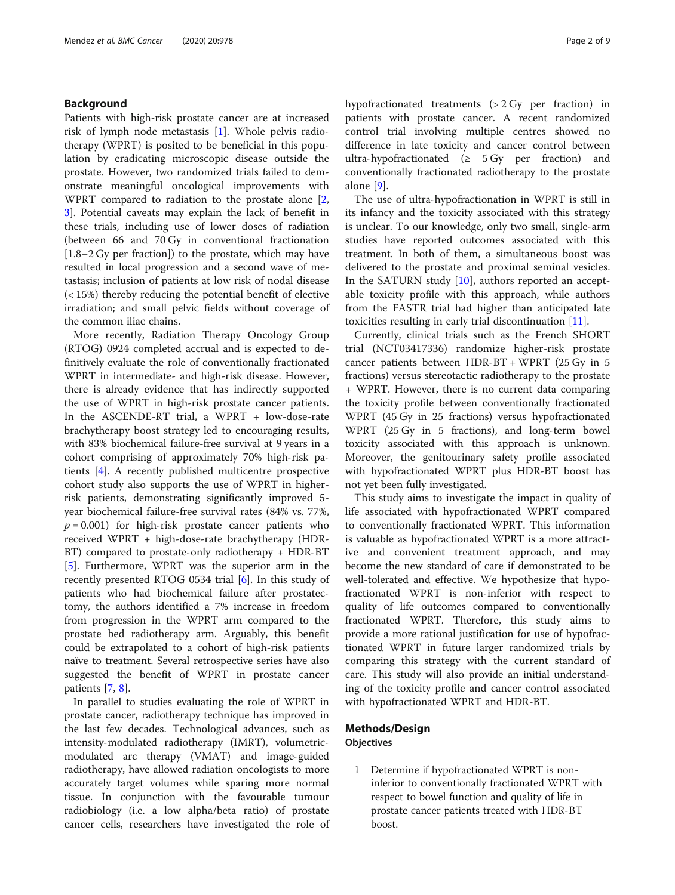#### Background

Patients with high-risk prostate cancer are at increased risk of lymph node metastasis [\[1](#page-7-0)]. Whole pelvis radiotherapy (WPRT) is posited to be beneficial in this population by eradicating microscopic disease outside the prostate. However, two randomized trials failed to demonstrate meaningful oncological improvements with WPRT compared to radiation to the prostate alone [[2](#page-7-0), [3\]](#page-7-0). Potential caveats may explain the lack of benefit in these trials, including use of lower doses of radiation (between 66 and 70 Gy in conventional fractionation [1.8–2 Gy per fraction]) to the prostate, which may have resulted in local progression and a second wave of metastasis; inclusion of patients at low risk of nodal disease (< 15%) thereby reducing the potential benefit of elective irradiation; and small pelvic fields without coverage of the common iliac chains.

More recently, Radiation Therapy Oncology Group (RTOG) 0924 completed accrual and is expected to definitively evaluate the role of conventionally fractionated WPRT in intermediate- and high-risk disease. However, there is already evidence that has indirectly supported the use of WPRT in high-risk prostate cancer patients. In the ASCENDE-RT trial, a WPRT + low-dose-rate brachytherapy boost strategy led to encouraging results, with 83% biochemical failure-free survival at 9 years in a cohort comprising of approximately 70% high-risk patients [[4\]](#page-7-0). A recently published multicentre prospective cohort study also supports the use of WPRT in higherrisk patients, demonstrating significantly improved 5 year biochemical failure-free survival rates (84% vs. 77%,  $p = 0.001$ ) for high-risk prostate cancer patients who received WPRT + high-dose-rate brachytherapy (HDR-BT) compared to prostate-only radiotherapy + HDR-BT [[5\]](#page-7-0). Furthermore, WPRT was the superior arm in the recently presented RTOG 0534 trial [[6\]](#page-7-0). In this study of patients who had biochemical failure after prostatectomy, the authors identified a 7% increase in freedom from progression in the WPRT arm compared to the prostate bed radiotherapy arm. Arguably, this benefit could be extrapolated to a cohort of high-risk patients naïve to treatment. Several retrospective series have also suggested the benefit of WPRT in prostate cancer patients [[7,](#page-7-0) [8\]](#page-7-0).

In parallel to studies evaluating the role of WPRT in prostate cancer, radiotherapy technique has improved in the last few decades. Technological advances, such as intensity-modulated radiotherapy (IMRT), volumetricmodulated arc therapy (VMAT) and image-guided radiotherapy, have allowed radiation oncologists to more accurately target volumes while sparing more normal tissue. In conjunction with the favourable tumour radiobiology (i.e. a low alpha/beta ratio) of prostate cancer cells, researchers have investigated the role of hypofractionated treatments (> 2 Gy per fraction) in patients with prostate cancer. A recent randomized control trial involving multiple centres showed no difference in late toxicity and cancer control between ultra-hypofractionated  $(≥ 5 Gy per fraction)$  and conventionally fractionated radiotherapy to the prostate alone [[9\]](#page-8-0).

The use of ultra-hypofractionation in WPRT is still in its infancy and the toxicity associated with this strategy is unclear. To our knowledge, only two small, single-arm studies have reported outcomes associated with this treatment. In both of them, a simultaneous boost was delivered to the prostate and proximal seminal vesicles. In the SATURN study [\[10](#page-8-0)], authors reported an acceptable toxicity profile with this approach, while authors from the FASTR trial had higher than anticipated late toxicities resulting in early trial discontinuation [[11\]](#page-8-0).

Currently, clinical trials such as the French SHORT trial (NCT03417336) randomize higher-risk prostate cancer patients between  $HDR-BT + WPRT$  (25 Gy in 5 fractions) versus stereotactic radiotherapy to the prostate + WPRT. However, there is no current data comparing the toxicity profile between conventionally fractionated WPRT (45 Gy in 25 fractions) versus hypofractionated WPRT (25 Gy in 5 fractions), and long-term bowel toxicity associated with this approach is unknown. Moreover, the genitourinary safety profile associated with hypofractionated WPRT plus HDR-BT boost has not yet been fully investigated.

This study aims to investigate the impact in quality of life associated with hypofractionated WPRT compared to conventionally fractionated WPRT. This information is valuable as hypofractionated WPRT is a more attractive and convenient treatment approach, and may become the new standard of care if demonstrated to be well-tolerated and effective. We hypothesize that hypofractionated WPRT is non-inferior with respect to quality of life outcomes compared to conventionally fractionated WPRT. Therefore, this study aims to provide a more rational justification for use of hypofractionated WPRT in future larger randomized trials by comparing this strategy with the current standard of care. This study will also provide an initial understanding of the toxicity profile and cancer control associated with hypofractionated WPRT and HDR-BT.

#### Methods/Design **Objectives**

1 Determine if hypofractionated WPRT is noninferior to conventionally fractionated WPRT with respect to bowel function and quality of life in prostate cancer patients treated with HDR-BT boost.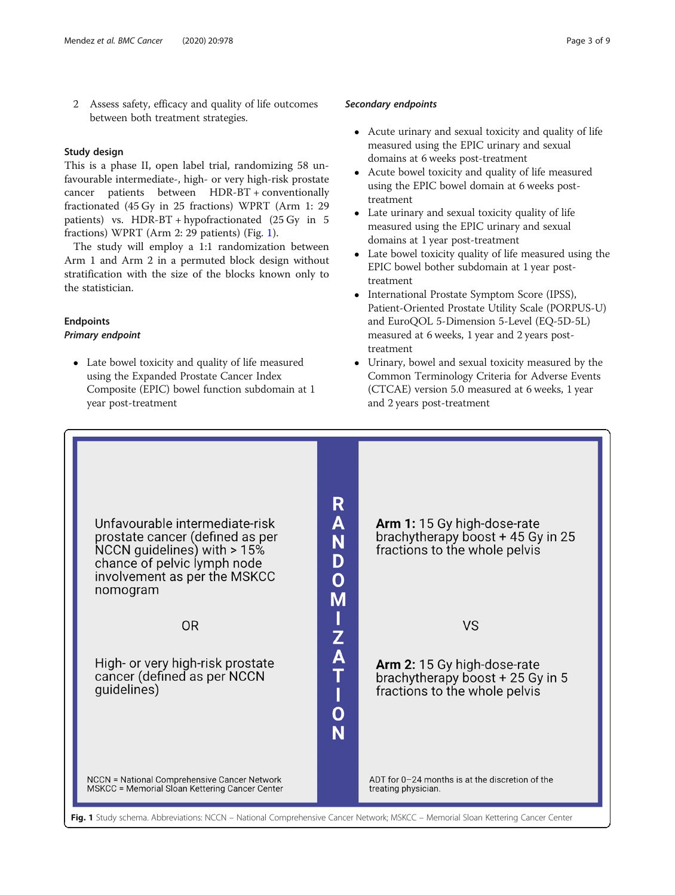2 Assess safety, efficacy and quality of life outcomes between both treatment strategies.

#### Study design

This is a phase II, open label trial, randomizing 58 unfavourable intermediate-, high- or very high-risk prostate cancer patients between HDR-BT + conventionally fractionated (45 Gy in 25 fractions) WPRT (Arm 1: 29 patients) vs. HDR-BT + hypofractionated (25 Gy in 5 fractions) WPRT (Arm 2: 29 patients) (Fig. 1).

The study will employ a 1:1 randomization between Arm 1 and Arm 2 in a permuted block design without stratification with the size of the blocks known only to the statistician.

# Endpoints

#### Primary endpoint

 Late bowel toxicity and quality of life measured using the Expanded Prostate Cancer Index Composite (EPIC) bowel function subdomain at 1 year post-treatment

#### Secondary endpoints

- Acute urinary and sexual toxicity and quality of life measured using the EPIC urinary and sexual domains at 6 weeks post-treatment
- Acute bowel toxicity and quality of life measured using the EPIC bowel domain at 6 weeks posttreatment
- Late urinary and sexual toxicity quality of life measured using the EPIC urinary and sexual domains at 1 year post-treatment
- Late bowel toxicity quality of life measured using the EPIC bowel bother subdomain at 1 year posttreatment
- International Prostate Symptom Score (IPSS), Patient-Oriented Prostate Utility Scale (PORPUS-U) and EuroQOL 5-Dimension 5-Level (EQ-5D-5L) measured at 6 weeks, 1 year and 2 years posttreatment
- Urinary, bowel and sexual toxicity measured by the Common Terminology Criteria for Adverse Events (CTCAE) version 5.0 measured at 6 weeks, 1 year and 2 years post-treatment

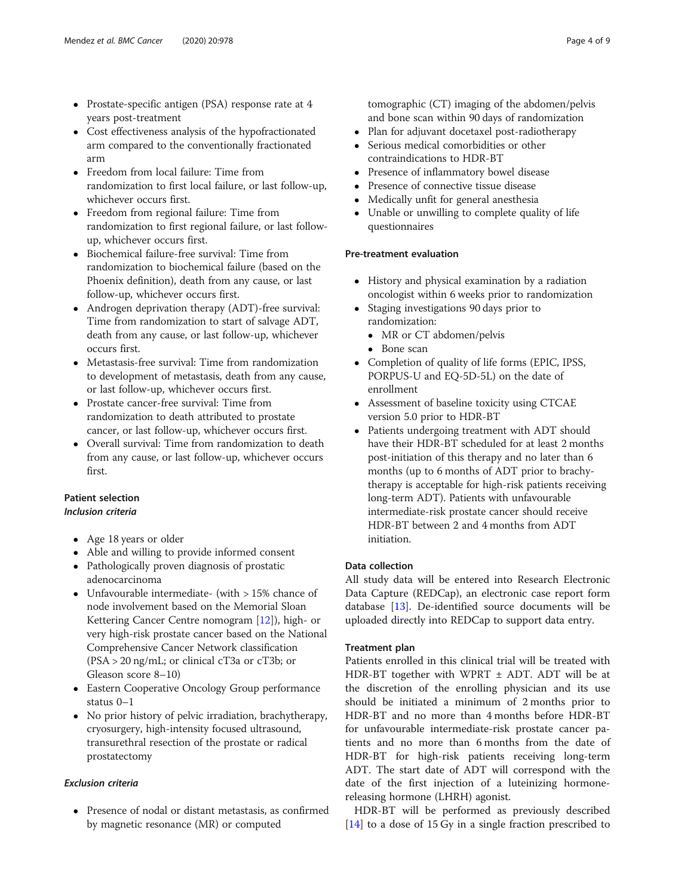- Prostate-specific antigen (PSA) response rate at 4 years post-treatment
- Cost effectiveness analysis of the hypofractionated arm compared to the conventionally fractionated arm
- Freedom from local failure: Time from randomization to first local failure, or last follow-up, whichever occurs first.
- Freedom from regional failure: Time from randomization to first regional failure, or last followup, whichever occurs first.
- Biochemical failure-free survival: Time from randomization to biochemical failure (based on the Phoenix definition), death from any cause, or last follow-up, whichever occurs first.
- Androgen deprivation therapy (ADT)-free survival: Time from randomization to start of salvage ADT, death from any cause, or last follow-up, whichever occurs first.
- Metastasis-free survival: Time from randomization to development of metastasis, death from any cause, or last follow-up, whichever occurs first.
- Prostate cancer-free survival: Time from randomization to death attributed to prostate cancer, or last follow-up, whichever occurs first.
- Overall survival: Time from randomization to death from any cause, or last follow-up, whichever occurs first.

## Patient selection

Inclusion criteria

- Age 18 years or older
- Able and willing to provide informed consent
- Pathologically proven diagnosis of prostatic adenocarcinoma
- Unfavourable intermediate- (with > 15% chance of node involvement based on the Memorial Sloan Kettering Cancer Centre nomogram [\[12\]](#page-8-0)), high- or very high-risk prostate cancer based on the National Comprehensive Cancer Network classification (PSA > 20 ng/mL; or clinical cT3a or cT3b; or Gleason score 8–10)
- Eastern Cooperative Oncology Group performance status 0–1
- No prior history of pelvic irradiation, brachytherapy, cryosurgery, high-intensity focused ultrasound, transurethral resection of the prostate or radical prostatectomy

#### Exclusion criteria

• Presence of nodal or distant metastasis, as confirmed by magnetic resonance (MR) or computed

tomographic (CT) imaging of the abdomen/pelvis and bone scan within 90 days of randomization

- Plan for adjuvant docetaxel post-radiotherapy
- Serious medical comorbidities or other contraindications to HDR-BT
- Presence of inflammatory bowel disease<br>• Presence of connective tissue disease
- Presence of connective tissue disease
- Medically unfit for general anesthesia
- Unable or unwilling to complete quality of life questionnaires

#### Pre-treatment evaluation

- History and physical examination by a radiation oncologist within 6 weeks prior to randomization
- Staging investigations 90 days prior to randomization:
	- MR or CT abdomen/pelvis
	- Bone scan
- Completion of quality of life forms (EPIC, IPSS, PORPUS-U and EQ-5D-5L) on the date of enrollment
- Assessment of baseline toxicity using CTCAE version 5.0 prior to HDR-BT
- Patients undergoing treatment with ADT should have their HDR-BT scheduled for at least 2 months post-initiation of this therapy and no later than 6 months (up to 6 months of ADT prior to brachytherapy is acceptable for high-risk patients receiving long-term ADT). Patients with unfavourable intermediate-risk prostate cancer should receive HDR-BT between 2 and 4 months from ADT initiation.

#### Data collection

All study data will be entered into Research Electronic Data Capture (REDCap), an electronic case report form database [\[13\]](#page-8-0). De-identified source documents will be uploaded directly into REDCap to support data entry.

#### Treatment plan

Patients enrolled in this clinical trial will be treated with HDR-BT together with WPRT ± ADT. ADT will be at the discretion of the enrolling physician and its use should be initiated a minimum of 2 months prior to HDR-BT and no more than 4 months before HDR-BT for unfavourable intermediate-risk prostate cancer patients and no more than 6 months from the date of HDR-BT for high-risk patients receiving long-term ADT. The start date of ADT will correspond with the date of the first injection of a luteinizing hormonereleasing hormone (LHRH) agonist.

HDR-BT will be performed as previously described [[14\]](#page-8-0) to a dose of 15 Gy in a single fraction prescribed to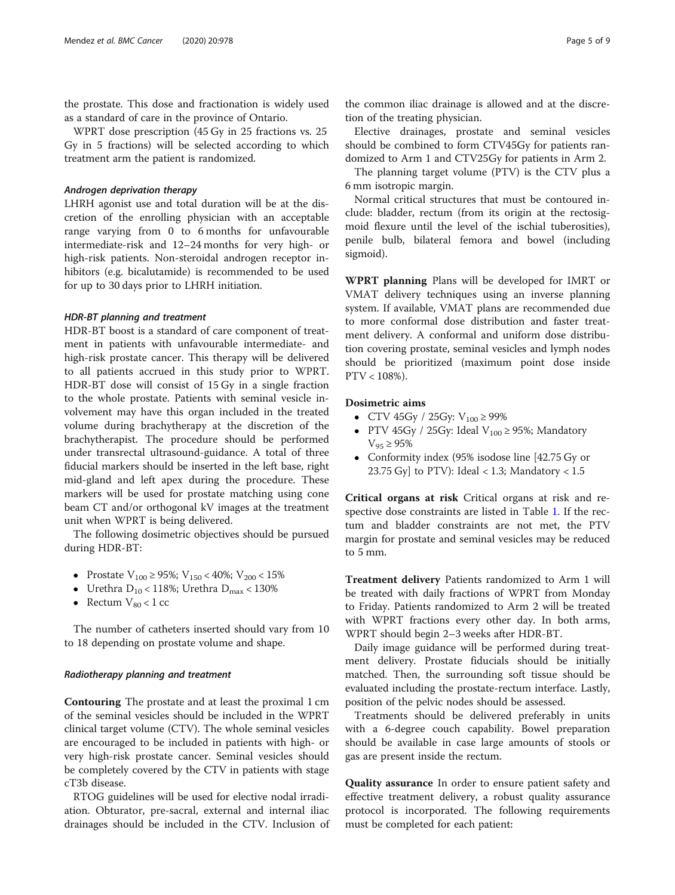the prostate. This dose and fractionation is widely used as a standard of care in the province of Ontario.

WPRT dose prescription (45 Gy in 25 fractions vs. 25 Gy in 5 fractions) will be selected according to which treatment arm the patient is randomized.

#### Androgen deprivation therapy

LHRH agonist use and total duration will be at the discretion of the enrolling physician with an acceptable range varying from 0 to 6 months for unfavourable intermediate-risk and 12–24 months for very high- or high-risk patients. Non-steroidal androgen receptor inhibitors (e.g. bicalutamide) is recommended to be used for up to 30 days prior to LHRH initiation.

#### HDR-BT planning and treatment

HDR-BT boost is a standard of care component of treatment in patients with unfavourable intermediate- and high-risk prostate cancer. This therapy will be delivered to all patients accrued in this study prior to WPRT. HDR-BT dose will consist of 15 Gy in a single fraction to the whole prostate. Patients with seminal vesicle involvement may have this organ included in the treated volume during brachytherapy at the discretion of the brachytherapist. The procedure should be performed under transrectal ultrasound-guidance. A total of three fiducial markers should be inserted in the left base, right mid-gland and left apex during the procedure. These markers will be used for prostate matching using cone beam CT and/or orthogonal kV images at the treatment unit when WPRT is being delivered.

The following dosimetric objectives should be pursued during HDR-BT:

- Prostate  $V_{100} \ge 95\%$ ;  $V_{150} < 40\%$ ;  $V_{200} < 15\%$
- Urethra  $D_{10}$  < 118%; Urethra  $D_{\text{max}}$  < 130%
- Rectum  $V_{80}$  < 1 cc

The number of catheters inserted should vary from 10 to 18 depending on prostate volume and shape.

#### Radiotherapy planning and treatment

Contouring The prostate and at least the proximal 1 cm of the seminal vesicles should be included in the WPRT clinical target volume (CTV). The whole seminal vesicles are encouraged to be included in patients with high- or very high-risk prostate cancer. Seminal vesicles should be completely covered by the CTV in patients with stage cT3b disease.

RTOG guidelines will be used for elective nodal irradiation. Obturator, pre-sacral, external and internal iliac drainages should be included in the CTV. Inclusion of

Elective drainages, prostate and seminal vesicles should be combined to form CTV45Gy for patients randomized to Arm 1 and CTV25Gy for patients in Arm 2.

The planning target volume (PTV) is the CTV plus a 6 mm isotropic margin.

Normal critical structures that must be contoured include: bladder, rectum (from its origin at the rectosigmoid flexure until the level of the ischial tuberosities), penile bulb, bilateral femora and bowel (including sigmoid).

WPRT planning Plans will be developed for IMRT or VMAT delivery techniques using an inverse planning system. If available, VMAT plans are recommended due to more conformal dose distribution and faster treatment delivery. A conformal and uniform dose distribution covering prostate, seminal vesicles and lymph nodes should be prioritized (maximum point dose inside PTV < 108%).

#### Dosimetric aims

- $\bullet$  CTV 45Gy / 25Gy: V<sub>100</sub>  $\geq$  99%
- PTV 45Gy / 25Gy: Ideal  $V_{100} \ge 95\%$ ; Mandatory  $V_{95} \ge 95\%$
- Conformity index (95% isodose line [42.75 Gy or 23.75 Gy] to PTV): Ideal < 1.3; Mandatory <  $1.5$

Critical organs at risk Critical organs at risk and respective dose constraints are listed in Table [1](#page-5-0). If the rectum and bladder constraints are not met, the PTV margin for prostate and seminal vesicles may be reduced to 5 mm.

Treatment delivery Patients randomized to Arm 1 will be treated with daily fractions of WPRT from Monday to Friday. Patients randomized to Arm 2 will be treated with WPRT fractions every other day. In both arms, WPRT should begin 2–3 weeks after HDR-BT.

Daily image guidance will be performed during treatment delivery. Prostate fiducials should be initially matched. Then, the surrounding soft tissue should be evaluated including the prostate-rectum interface. Lastly, position of the pelvic nodes should be assessed.

Treatments should be delivered preferably in units with a 6-degree couch capability. Bowel preparation should be available in case large amounts of stools or gas are present inside the rectum.

Quality assurance In order to ensure patient safety and effective treatment delivery, a robust quality assurance protocol is incorporated. The following requirements must be completed for each patient: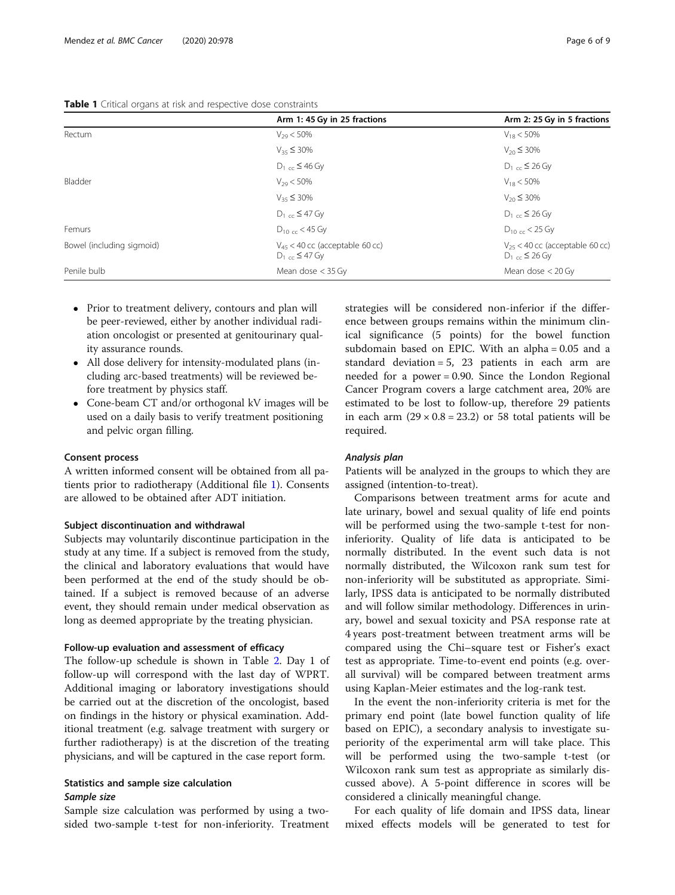|                           | Arm 1: 45 Gy in 25 fractions                                       | Arm 2: 25 Gy in 5 fractions                                        |  |  |  |
|---------------------------|--------------------------------------------------------------------|--------------------------------------------------------------------|--|--|--|
| Rectum                    | $V_{29}$ < 50%                                                     | $V_{18}$ < 50%                                                     |  |  |  |
|                           | $V_{35} \leq 30\%$                                                 | $V_{20} \leq 30\%$                                                 |  |  |  |
|                           | $D_1$ <sub>cc</sub> ≤ 46 Gy                                        | $D_1$ <sub>cc</sub> ≤ 26 Gy                                        |  |  |  |
| Bladder                   | $V_{29}$ < 50%                                                     | $V_{18}$ < 50%                                                     |  |  |  |
|                           | $V_{35} \leq 30\%$                                                 | $V_{20} \leq 30\%$                                                 |  |  |  |
|                           | $D_1$ <sub>cc</sub> ≤ 47 Gy                                        | $D_1$ <sub>cc</sub> ≤ 26 Gy                                        |  |  |  |
| Femurs                    | $D_{10,cc}$ < 45 Gy                                                | $D_{10 \text{ cc}}$ < 25 Gy                                        |  |  |  |
| Bowel (including sigmoid) | $V_{45}$ < 40 cc (acceptable 60 cc)<br>$D_1$ <sub>cc</sub> ≤ 47 Gy | $V_{25}$ < 40 cc (acceptable 60 cc)<br>$D_1$ <sub>cc</sub> ≤ 26 Gy |  |  |  |
| Penile bulb               | Mean dose $<$ 35 Gy                                                | Mean dose $<$ 20 Gy                                                |  |  |  |

<span id="page-5-0"></span>

| <b>Table 1</b> Critical organs at risk and respective dose constraints |
|------------------------------------------------------------------------|
|------------------------------------------------------------------------|

- Prior to treatment delivery, contours and plan will be peer-reviewed, either by another individual radiation oncologist or presented at genitourinary quality assurance rounds.
- All dose delivery for intensity-modulated plans (including arc-based treatments) will be reviewed before treatment by physics staff.
- Cone-beam CT and/or orthogonal kV images will be used on a daily basis to verify treatment positioning and pelvic organ filling.

#### Consent process

A written informed consent will be obtained from all patients prior to radiotherapy (Additional file [1](#page-7-0)). Consents are allowed to be obtained after ADT initiation.

#### Subject discontinuation and withdrawal

Subjects may voluntarily discontinue participation in the study at any time. If a subject is removed from the study, the clinical and laboratory evaluations that would have been performed at the end of the study should be obtained. If a subject is removed because of an adverse event, they should remain under medical observation as long as deemed appropriate by the treating physician.

#### Follow-up evaluation and assessment of efficacy

The follow-up schedule is shown in Table [2.](#page-6-0) Day 1 of follow-up will correspond with the last day of WPRT. Additional imaging or laboratory investigations should be carried out at the discretion of the oncologist, based on findings in the history or physical examination. Additional treatment (e.g. salvage treatment with surgery or further radiotherapy) is at the discretion of the treating physicians, and will be captured in the case report form.

#### Statistics and sample size calculation Sample size

Sample size calculation was performed by using a twosided two-sample t-test for non-inferiority. Treatment strategies will be considered non-inferior if the difference between groups remains within the minimum clinical significance (5 points) for the bowel function subdomain based on EPIC. With an alpha = 0.05 and a standard deviation = 5, 23 patients in each arm are needed for a power = 0.90. Since the London Regional Cancer Program covers a large catchment area, 20% are estimated to be lost to follow-up, therefore 29 patients in each arm  $(29 \times 0.8 = 23.2)$  or 58 total patients will be required.

#### Analysis plan

Patients will be analyzed in the groups to which they are assigned (intention-to-treat).

Comparisons between treatment arms for acute and late urinary, bowel and sexual quality of life end points will be performed using the two-sample t-test for noninferiority. Quality of life data is anticipated to be normally distributed. In the event such data is not normally distributed, the Wilcoxon rank sum test for non-inferiority will be substituted as appropriate. Similarly, IPSS data is anticipated to be normally distributed and will follow similar methodology. Differences in urinary, bowel and sexual toxicity and PSA response rate at 4 years post-treatment between treatment arms will be compared using the Chi–square test or Fisher's exact test as appropriate. Time-to-event end points (e.g. overall survival) will be compared between treatment arms using Kaplan-Meier estimates and the log-rank test.

In the event the non-inferiority criteria is met for the primary end point (late bowel function quality of life based on EPIC), a secondary analysis to investigate superiority of the experimental arm will take place. This will be performed using the two-sample t-test (or Wilcoxon rank sum test as appropriate as similarly discussed above). A 5-point difference in scores will be considered a clinically meaningful change.

For each quality of life domain and IPSS data, linear mixed effects models will be generated to test for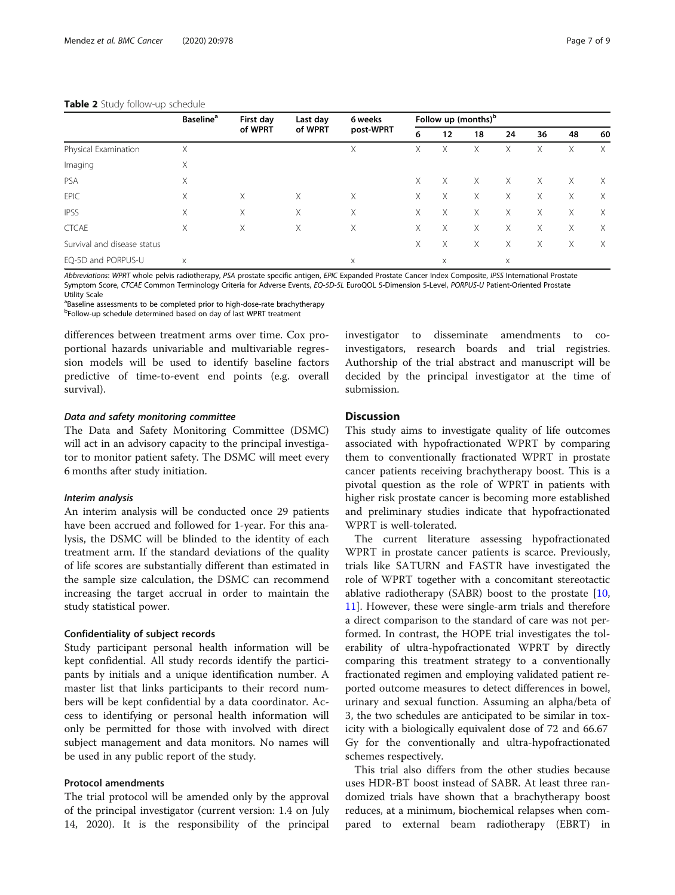<span id="page-6-0"></span>

|                             | <b>Baseline</b> <sup>a</sup> | First day<br>of WPRT | Last day<br>of WPRT | 6 weeks<br>post-WPRT | Follow up (months) <sup>b</sup> |    |    |          |    |    |          |
|-----------------------------|------------------------------|----------------------|---------------------|----------------------|---------------------------------|----|----|----------|----|----|----------|
|                             |                              |                      |                     |                      | 6                               | 12 | 18 | 24       | 36 | 48 | 60       |
| Physical Examination        | X                            |                      |                     | X                    | X                               | Χ  | Х  | X        | Χ  | Х  | $\times$ |
| Imaging                     | Χ                            |                      |                     |                      |                                 |    |    |          |    |    |          |
| <b>PSA</b>                  | X                            |                      |                     |                      | X                               | Χ  | X  | X        | X  | X  | X        |
| <b>EPIC</b>                 | Χ                            | X                    | Χ                   | Χ                    | X                               | Χ  | Χ  | X        | Χ  | X  | $\times$ |
| <b>IPSS</b>                 | Χ                            | X                    | Χ                   | X                    | X                               | Χ  | X  | X        | X  | X  | $\times$ |
| <b>CTCAE</b>                | Χ                            | X                    | Χ                   | X                    | X                               | Χ  | Χ  | X        | X. | X  | $\times$ |
| Survival and disease status |                              |                      |                     |                      | Χ                               | Χ  | X  | X        | Χ  | X  | $\times$ |
| EQ-5D and PORPUS-U          | $\times$                     |                      |                     | $\times$             |                                 | X  |    | $\times$ |    |    |          |

Abbreviations: WPRT whole pelvis radiotherapy, PSA prostate specific antigen, EPIC Expanded Prostate Cancer Index Composite, IPSS International Prostate Symptom Score, CTCAE Common Terminology Criteria for Adverse Events, EQ-5D-5L EuroQOL 5-Dimension 5-Level, PORPUS-U Patient-Oriented Prostate Utility Scale

<sup>a</sup>Baseline assessments to be completed prior to high-dose-rate brachytherapy b Follow-up schedule determined based on day of last WPRT treatment

differences between treatment arms over time. Cox proportional hazards univariable and multivariable regression models will be used to identify baseline factors predictive of time-to-event end points (e.g. overall survival).

#### Data and safety monitoring committee

The Data and Safety Monitoring Committee (DSMC) will act in an advisory capacity to the principal investigator to monitor patient safety. The DSMC will meet every 6 months after study initiation.

#### Interim analysis

An interim analysis will be conducted once 29 patients have been accrued and followed for 1-year. For this analysis, the DSMC will be blinded to the identity of each treatment arm. If the standard deviations of the quality of life scores are substantially different than estimated in the sample size calculation, the DSMC can recommend increasing the target accrual in order to maintain the study statistical power.

#### Confidentiality of subject records

Study participant personal health information will be kept confidential. All study records identify the participants by initials and a unique identification number. A master list that links participants to their record numbers will be kept confidential by a data coordinator. Access to identifying or personal health information will only be permitted for those with involved with direct subject management and data monitors. No names will be used in any public report of the study.

#### Protocol amendments

The trial protocol will be amended only by the approval of the principal investigator (current version: 1.4 on July 14, 2020). It is the responsibility of the principal investigator to disseminate amendments to coinvestigators, research boards and trial registries. Authorship of the trial abstract and manuscript will be decided by the principal investigator at the time of submission.

#### **Discussion**

This study aims to investigate quality of life outcomes associated with hypofractionated WPRT by comparing them to conventionally fractionated WPRT in prostate cancer patients receiving brachytherapy boost. This is a pivotal question as the role of WPRT in patients with higher risk prostate cancer is becoming more established and preliminary studies indicate that hypofractionated WPRT is well-tolerated.

The current literature assessing hypofractionated WPRT in prostate cancer patients is scarce. Previously, trials like SATURN and FASTR have investigated the role of WPRT together with a concomitant stereotactic ablative radiotherapy (SABR) boost to the prostate  $[10,$  $[10,$  $[10,$ [11\]](#page-8-0). However, these were single-arm trials and therefore a direct comparison to the standard of care was not performed. In contrast, the HOPE trial investigates the tolerability of ultra-hypofractionated WPRT by directly comparing this treatment strategy to a conventionally fractionated regimen and employing validated patient reported outcome measures to detect differences in bowel, urinary and sexual function. Assuming an alpha/beta of 3, the two schedules are anticipated to be similar in toxicity with a biologically equivalent dose of 72 and 66.67 Gy for the conventionally and ultra-hypofractionated schemes respectively.

This trial also differs from the other studies because uses HDR-BT boost instead of SABR. At least three randomized trials have shown that a brachytherapy boost reduces, at a minimum, biochemical relapses when compared to external beam radiotherapy (EBRT) in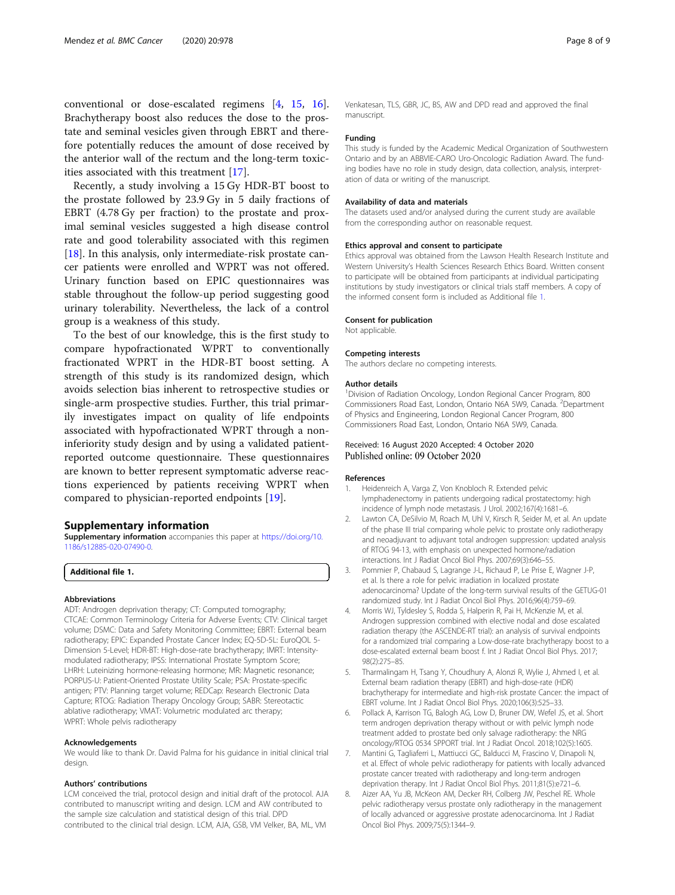<span id="page-7-0"></span>conventional or dose-escalated regimens [4, [15,](#page-8-0) [16](#page-8-0)]. Brachytherapy boost also reduces the dose to the prostate and seminal vesicles given through EBRT and therefore potentially reduces the amount of dose received by the anterior wall of the rectum and the long-term toxicities associated with this treatment [[17\]](#page-8-0).

Recently, a study involving a 15 Gy HDR-BT boost to the prostate followed by 23.9 Gy in 5 daily fractions of EBRT (4.78 Gy per fraction) to the prostate and proximal seminal vesicles suggested a high disease control rate and good tolerability associated with this regimen [[18\]](#page-8-0). In this analysis, only intermediate-risk prostate cancer patients were enrolled and WPRT was not offered. Urinary function based on EPIC questionnaires was stable throughout the follow-up period suggesting good urinary tolerability. Nevertheless, the lack of a control group is a weakness of this study.

To the best of our knowledge, this is the first study to compare hypofractionated WPRT to conventionally fractionated WPRT in the HDR-BT boost setting. A strength of this study is its randomized design, which avoids selection bias inherent to retrospective studies or single-arm prospective studies. Further, this trial primarily investigates impact on quality of life endpoints associated with hypofractionated WPRT through a noninferiority study design and by using a validated patientreported outcome questionnaire. These questionnaires are known to better represent symptomatic adverse reactions experienced by patients receiving WPRT when compared to physician-reported endpoints [\[19](#page-8-0)].

#### Supplementary information

Supplementary information accompanies this paper at [https://doi.org/10.](https://doi.org/10.1186/s12885-020-07490-0) [1186/s12885-020-07490-0](https://doi.org/10.1186/s12885-020-07490-0).

#### Additional file 1.

#### Abbreviations

ADT: Androgen deprivation therapy; CT: Computed tomography; CTCAE: Common Terminology Criteria for Adverse Events; CTV: Clinical target volume; DSMC: Data and Safety Monitoring Committee; EBRT: External beam radiotherapy; EPIC: Expanded Prostate Cancer Index; EQ-5D-5L: EuroQOL 5- Dimension 5-Level; HDR-BT: High-dose-rate brachytherapy; IMRT: Intensitymodulated radiotherapy; IPSS: International Prostate Symptom Score; LHRH: Luteinizing hormone-releasing hormone; MR: Magnetic resonance; PORPUS-U: Patient-Oriented Prostate Utility Scale; PSA: Prostate-specific antigen; PTV: Planning target volume; REDCap: Research Electronic Data Capture; RTOG: Radiation Therapy Oncology Group; SABR: Stereotactic ablative radiotherapy; VMAT: Volumetric modulated arc therapy; WPRT: Whole pelvis radiotherapy

#### Acknowledgements

We would like to thank Dr. David Palma for his guidance in initial clinical trial design.

#### Authors' contributions

LCM conceived the trial, protocol design and initial draft of the protocol. AJA contributed to manuscript writing and design. LCM and AW contributed to the sample size calculation and statistical design of this trial. DPD contributed to the clinical trial design. LCM, AJA, GSB, VM Velker, BA, ML, VM

Venkatesan, TLS, GBR, JC, BS, AW and DPD read and approved the final manuscript.

#### Funding

This study is funded by the Academic Medical Organization of Southwestern Ontario and by an ABBVIE-CARO Uro-Oncologic Radiation Award. The funding bodies have no role in study design, data collection, analysis, interpretation of data or writing of the manuscript.

#### Availability of data and materials

The datasets used and/or analysed during the current study are available from the corresponding author on reasonable request.

#### Ethics approval and consent to participate

Ethics approval was obtained from the Lawson Health Research Institute and Western University's Health Sciences Research Ethics Board. Written consent to participate will be obtained from participants at individual participating institutions by study investigators or clinical trials staff members. A copy of the informed consent form is included as Additional file 1.

#### Consent for publication

Not applicable.

#### Competing interests

The authors declare no competing interests.

#### Author details

<sup>1</sup> Division of Radiation Oncology, London Regional Cancer Program, 800 Commissioners Road East, London, Ontario N6A 5W9, Canada. <sup>2</sup>Department of Physics and Engineering, London Regional Cancer Program, 800 Commissioners Road East, London, Ontario N6A 5W9, Canada.

#### Received: 16 August 2020 Accepted: 4 October 2020 Published online: 09 October 2020

#### References

- Heidenreich A, Varga Z, Von Knobloch R. Extended pelvic lymphadenectomy in patients undergoing radical prostatectomy: high incidence of lymph node metastasis. J Urol. 2002;167(4):1681–6.
- Lawton CA, DeSilvio M, Roach M, Uhl V, Kirsch R, Seider M, et al. An update of the phase III trial comparing whole pelvic to prostate only radiotherapy and neoadjuvant to adjuvant total androgen suppression: updated analysis of RTOG 94-13, with emphasis on unexpected hormone/radiation interactions. Int J Radiat Oncol Biol Phys. 2007;69(3):646–55.
- 3. Pommier P, Chabaud S, Lagrange J-L, Richaud P, Le Prise E, Wagner J-P, et al. Is there a role for pelvic irradiation in localized prostate adenocarcinoma? Update of the long-term survival results of the GETUG-01 randomized study. Int J Radiat Oncol Biol Phys. 2016;96(4):759–69.
- 4. Morris WJ, Tyldesley S, Rodda S, Halperin R, Pai H, McKenzie M, et al. Androgen suppression combined with elective nodal and dose escalated radiation therapy (the ASCENDE-RT trial): an analysis of survival endpoints for a randomized trial comparing a Low-dose-rate brachytherapy boost to a dose-escalated external beam boost f. Int J Radiat Oncol Biol Phys. 2017; 98(2):275–85.
- 5. Tharmalingam H, Tsang Y, Choudhury A, Alonzi R, Wylie J, Ahmed I, et al. External beam radiation therapy (EBRT) and high-dose-rate (HDR) brachytherapy for intermediate and high-risk prostate Cancer: the impact of EBRT volume. Int J Radiat Oncol Biol Phys. 2020;106(3):525–33.
- 6. Pollack A, Karrison TG, Balogh AG, Low D, Bruner DW, Wefel JS, et al. Short term androgen deprivation therapy without or with pelvic lymph node treatment added to prostate bed only salvage radiotherapy: the NRG oncology/RTOG 0534 SPPORT trial. Int J Radiat Oncol. 2018;102(5):1605.
- 7. Mantini G, Tagliaferri L, Mattiucci GC, Balducci M, Frascino V, Dinapoli N, et al. Effect of whole pelvic radiotherapy for patients with locally advanced prostate cancer treated with radiotherapy and long-term androgen deprivation therapy. Int J Radiat Oncol Biol Phys. 2011;81(5):e721–6.
- 8. Aizer AA, Yu JB, McKeon AM, Decker RH, Colberg JW, Peschel RE. Whole pelvic radiotherapy versus prostate only radiotherapy in the management of locally advanced or aggressive prostate adenocarcinoma. Int J Radiat Oncol Biol Phys. 2009;75(5):1344–9.